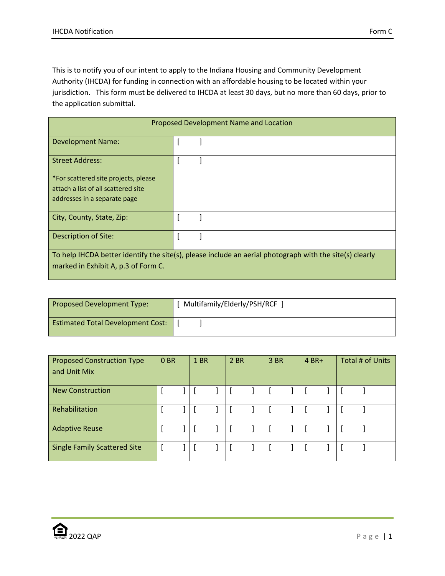This is to notify you of our intent to apply to the Indiana Housing and Community Development Authority (IHCDA) for funding in connection with an affordable housing to be located within your jurisdiction. This form must be delivered to IHCDA at least 30 days, but no more than 60 days, prior to the application submittal.

| Proposed Development Name and Location                                                                  |  |  |  |  |  |  |  |
|---------------------------------------------------------------------------------------------------------|--|--|--|--|--|--|--|
| <b>Development Name:</b>                                                                                |  |  |  |  |  |  |  |
| <b>Street Address:</b>                                                                                  |  |  |  |  |  |  |  |
| *For scattered site projects, please                                                                    |  |  |  |  |  |  |  |
| attach a list of all scattered site                                                                     |  |  |  |  |  |  |  |
| addresses in a separate page                                                                            |  |  |  |  |  |  |  |
| City, County, State, Zip:                                                                               |  |  |  |  |  |  |  |
| Description of Site:                                                                                    |  |  |  |  |  |  |  |
| To help IHCDA better identify the site(s), please include an aerial photograph with the site(s) clearly |  |  |  |  |  |  |  |
| marked in Exhibit A, p.3 of Form C.                                                                     |  |  |  |  |  |  |  |

| Proposed Development Type:               | Multifamily/Elderly/PSH/RCF |
|------------------------------------------|-----------------------------|
| <b>Estimated Total Development Cost:</b> |                             |

| <b>Proposed Construction Type</b><br>and Unit Mix | 0 BR | 1 BR | 2 BR | 3 BR |  | $4 BR+$ |  | Total # of Units |  |
|---------------------------------------------------|------|------|------|------|--|---------|--|------------------|--|
| <b>New Construction</b>                           |      |      |      |      |  |         |  |                  |  |
| Rehabilitation                                    |      |      |      |      |  |         |  |                  |  |
| <b>Adaptive Reuse</b>                             |      |      |      |      |  |         |  |                  |  |
| <b>Single Family Scattered Site</b>               |      |      |      |      |  |         |  |                  |  |

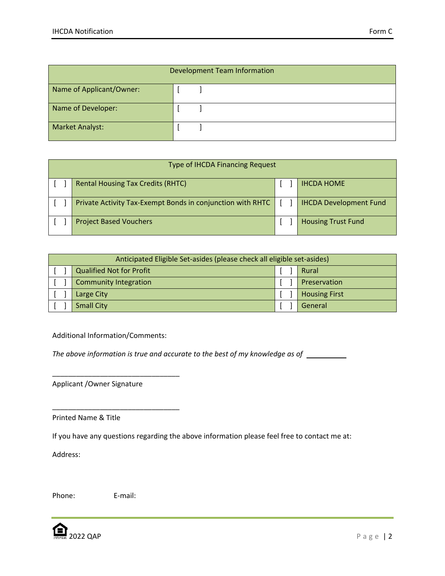| <b>Development Team Information</b> |  |  |  |  |  |  |  |  |
|-------------------------------------|--|--|--|--|--|--|--|--|
| Name of Applicant/Owner:            |  |  |  |  |  |  |  |  |
| Name of Developer:                  |  |  |  |  |  |  |  |  |
| <b>Market Analyst:</b>              |  |  |  |  |  |  |  |  |

| <b>Type of IHCDA Financing Request</b> |  |                                                            |  |  |                               |  |  |  |
|----------------------------------------|--|------------------------------------------------------------|--|--|-------------------------------|--|--|--|
|                                        |  | <b>Rental Housing Tax Credits (RHTC)</b>                   |  |  | <b>IHCDA HOME</b>             |  |  |  |
|                                        |  | Private Activity Tax-Exempt Bonds in conjunction with RHTC |  |  | <b>IHCDA Development Fund</b> |  |  |  |
|                                        |  | <b>Project Based Vouchers</b>                              |  |  | <b>Housing Trust Fund</b>     |  |  |  |

| Anticipated Eligible Set-asides (please check all eligible set-asides) |                                 |  |                      |  |  |  |  |
|------------------------------------------------------------------------|---------------------------------|--|----------------------|--|--|--|--|
|                                                                        | <b>Qualified Not for Profit</b> |  | Rural                |  |  |  |  |
|                                                                        | <b>Community Integration</b>    |  | Preservation         |  |  |  |  |
|                                                                        | Large City                      |  | <b>Housing First</b> |  |  |  |  |
|                                                                        | <b>Small City</b>               |  | General              |  |  |  |  |

Additional Information/Comments:

\_\_\_\_\_\_\_\_\_\_\_\_\_\_\_\_\_\_\_\_\_\_\_\_\_\_\_\_\_\_\_\_

\_\_\_\_\_\_\_\_\_\_\_\_\_\_\_\_\_\_\_\_\_\_\_\_\_\_\_\_\_\_\_\_

The above information is true and accurate to the best of my knowledge as of \_\_\_\_\_\_\_\_\_

Applicant /Owner Signature

Printed Name & Title

If you have any questions regarding the above information please feel free to contact me at:

Address:

Phone: E-mail:

2022 QAP Page | 2